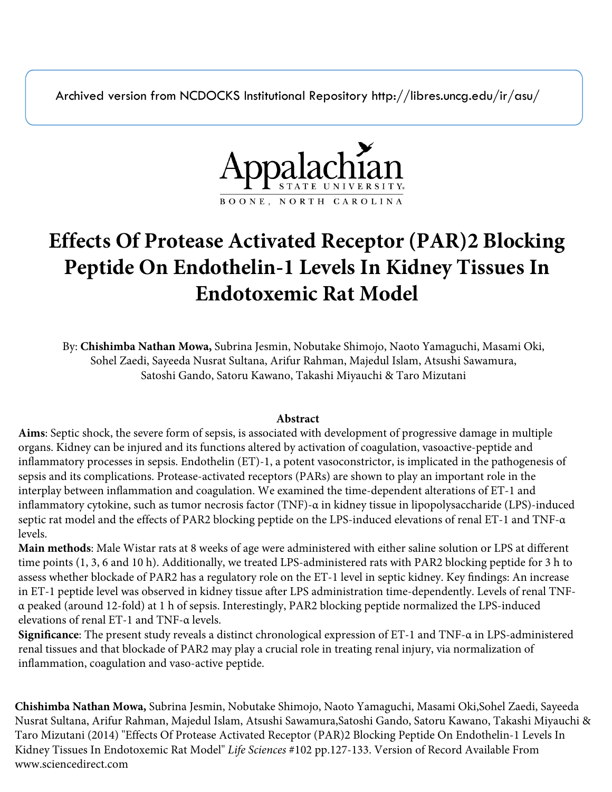Archived version from NCDOCKS Institutional Repository http://libres.uncg.edu/ir/asu/



# **Effects Of Protease Activated Receptor (PAR)2 Blocking Peptide On Endothelin-1 Levels In Kidney Tissues In Endotoxemic Rat Model**

By: **Chishimba Nathan Mowa,** Subrina Jesmin, Nobutake Shimojo, Naoto Yamaguchi, Masami Oki, Sohel Zaedi, Sayeeda Nusrat Sultana, Arifur Rahman, Majedul Islam, Atsushi Sawamura, Satoshi Gando, Satoru Kawano, Takashi Miyauchi & Taro Mizutani

# **Abstract**

**Aims**: Septic shock, the severe form of sepsis, is associated with development of progressive damage in multiple organs. Kidney can be injured and its functions altered by activation of coagulation, vasoactive-peptide and inflammatory processes in sepsis. Endothelin (ET)-1, a potent vasoconstrictor, is implicated in the pathogenesis of sepsis and its complications. Protease-activated receptors (PARs) are shown to play an important role in the interplay between inflammation and coagulation. We examined the time-dependent alterations of ET-1 and inflammatory cytokine, such as tumor necrosis factor (TNF)-α in kidney tissue in lipopolysaccharide (LPS)-induced septic rat model and the effects of PAR2 blocking peptide on the LPS-induced elevations of renal ET-1 and TNF-α levels.

**Main methods**: Male Wistar rats at 8 weeks of age were administered with either saline solution or LPS at different time points (1, 3, 6 and 10 h). Additionally, we treated LPS-administered rats with PAR2 blocking peptide for 3 h to assess whether blockade of PAR2 has a regulatory role on the ET-1 level in septic kidney. Key findings: An increase in ET-1 peptide level was observed in kidney tissue after LPS administration time-dependently. Levels of renal TNFα peaked (around 12-fold) at 1 h of sepsis. Interestingly, PAR2 blocking peptide normalized the LPS-induced elevations of renal ET-1 and TNF-α levels.

**Significance**: The present study reveals a distinct chronological expression of ET-1 and TNF-α in LPS-administered renal tissues and that blockade of PAR2 may play a crucial role in treating renal injury, via normalization of inflammation, coagulation and vaso-active peptide.

**Chishimba Nathan Mowa,** Subrina Jesmin, Nobutake Shimojo, Naoto Yamaguchi, Masami Oki,Sohel Zaedi, Sayeeda Nusrat Sultana, Arifur Rahman, Majedul Islam, Atsushi Sawamura,Satoshi Gando, Satoru Kawano, Takashi Miyauchi & Taro Mizutani (2014) "Effects Of Protease Activated Receptor (PAR)2 Blocking Peptide On Endothelin-1 Levels In Kidney Tissues In Endotoxemic Rat Model" *Life Sciences* #102 pp.127-133. Version of Record Available From www.sciencedirect.com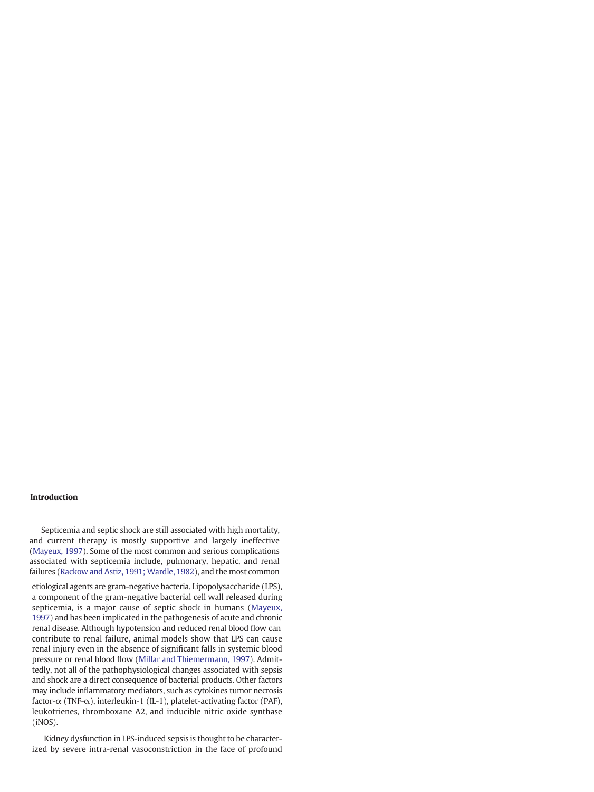#### Introduction

Septicemia and septic shock are still associated with high mortality, and current therapy is mostly supportive and largely ineffective (Mayeux, 1997). Some of the most common and serious complications associated with septicemia include, pulmonary, hepatic, and renal failures (Rackow and Astiz, 1991; Wardle, 1982), and the most common

etiological [agents](#page-6-0) are gram-negative bacteria. Lipopolysaccharide (LPS), a component of the gram-negative bacterial cell wall released during septicemia, is a [major](#page-6-0) cause of septic shock in humans (Mayeux, 1997) and has been implicated in the pathogenesis of acute and chronic renal disease. Although hypotension and reduced renal blood flow can contribute to renal failure, animal models show that LPS can cause renal injury even in the absence of significant falls in systemic blood pressure or renal blood flow [\(Millar](mailto:jsubrina@gmail.com) and Thie[mermann,](mailto:nokeshimojo@yahoo.co.jp) 1997). Admittedly, not all of the [pathophysi](mailto:yamaguchi@ipu.ac.jp)ological changes [associated](mailto:mowacn@appstate.edu) with sepsis and shock are a [direct](mailto:s1321258@u.tsukuba.ac.jp) consequence of [bacterial](mailto:zaedi0728@yahoo.com) products. Other factors may [include](mailto:rarif111@yahoo.com) infl[ammato](mailto:Gando@med.hokudai.ac.jp)ry me[diators,](mailto:majedul1987@yahoo.com) such as [cytokines](mailto:kawano_s@md.tsukuba.ac.jp) tumor necrosis factor- $\alpha$  (TNF- $\alpha$ ), [interle](mailto:t-miyauc@md.tsukuba.ac.jp)ukin-1 (IL-1), [platelet-activating](mailto:mizutani@md.tsukuba.ac.jp) factor (PAF), leukotrienes, thromboxane A2, and inducible nitric oxide synthase (iNOS).

Kidney dysfunction in LPS-induced sepsis is thought to be characterized by severe intra-renal vasoconstriction in the face of profound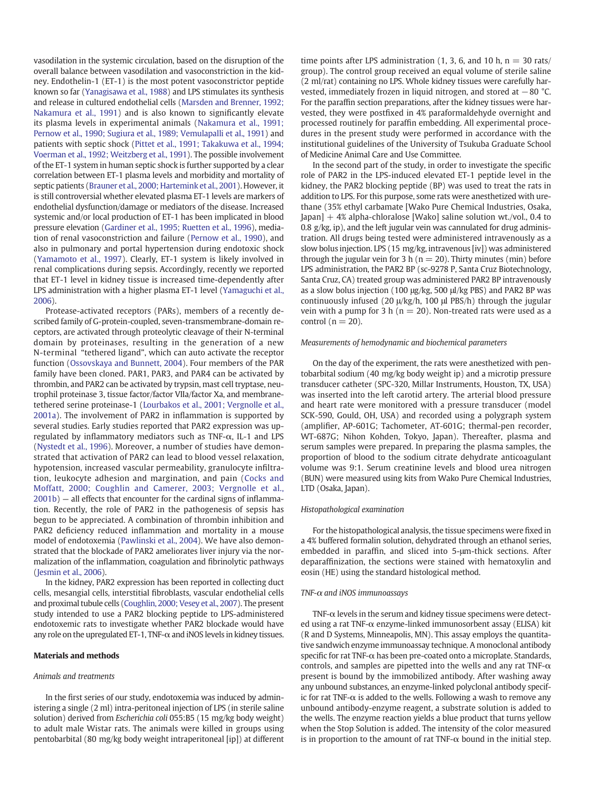vasodilation in the systemic circulation, based on the disruption of the overall balance between vasodilation and vasoconstriction in the kidney. Endothelin-1 (ET-1) is the most potent vasoconstrictor peptide known so far [\(Yanagisawa et al., 1988\)](#page-7-0) and LPS stimulates its synthesis and release in cultured endothelial cells [\(Marsden and Brenner, 1992;](#page-6-0) [Nakamura et al., 1991](#page-6-0)) and is also known to significantly elevate its plasma levels in experimental animals [\(Nakamura et al., 1991;](#page-6-0) [Pernow et al., 1990; Sugiura et al., 1989; Vemulapalli et al., 1991\)](#page-6-0) and patients with septic shock [\(Pittet et al., 1991; Takakuwa et al., 1994;](#page-6-0) [Voerman et al., 1992; Weitzberg et al., 1991](#page-6-0)). The possible involvement of the ET-1 system in human septic shock is further supported by a clear correlation between ET-1 plasma levels and morbidity and mortality of septic patients [\(Brauner et al., 2000; Hartemink et al., 2001\)](#page-6-0). However, it is still controversial whether elevated plasma ET-1 levels are markers of endothelial dysfunction/damage or mediators of the disease. Increased systemic and/or local production of ET-1 has been implicated in blood pressure elevation [\(Gardiner et al., 1995; Ruetten et al., 1996](#page-6-0)), mediation of renal vasoconstriction and failure [\(Pernow et al., 1990](#page-6-0)), and also in pulmonary and portal hypertension during endotoxic shock [\(Yamamoto et al., 1997](#page-7-0)). Clearly, ET-1 system is likely involved in renal complications during sepsis. Accordingly, recently we reported that ET-1 level in kidney tissue is increased time-dependently after LPS administration with a higher plasma ET-1 level ([Yamaguchi et al.,](#page-7-0) [2006\)](#page-7-0).

Protease-activated receptors (PARs), members of a recently described family of G-protein-coupled, seven-transmembrane-domain receptors, are activated through proteolytic cleavage of their N-terminal domain by proteinases, resulting in the generation of a new N-terminal "tethered ligand", which can auto activate the receptor function [\(Ossovskaya and Bunnett, 2004\)](#page-6-0). Four members of the PAR family have been cloned. PAR1, PAR3, and PAR4 can be activated by thrombin, and PAR2 can be activated by trypsin, mast cell tryptase, neutrophil proteinase 3, tissue factor/factor VIIa/factor Xa, and membranetethered serine proteinase-1 ([Lourbakos et al., 2001; Vergnolle et al.,](#page-6-0) [2001a](#page-6-0)). The involvement of PAR2 in inflammation is supported by several studies. Early studies reported that PAR2 expression was upregulated by inflammatory mediators such as TNF-α, IL-1 and LPS [\(Nystedt et al., 1996\)](#page-6-0). Moreover, a number of studies have demonstrated that activation of PAR2 can lead to blood vessel relaxation, hypotension, increased vascular permeability, granulocyte infiltration, leukocyte adhesion and margination, and pain ([Cocks and](#page-6-0) [Moffatt, 2000; Coughlin and Camerer, 2003; Vergnolle et al.,](#page-6-0) [2001b\)](#page-6-0) — all effects that encounter for the cardinal signs of inflammation. Recently, the role of PAR2 in the pathogenesis of sepsis has begun to be appreciated. A combination of thrombin inhibition and PAR2 deficiency reduced inflammation and mortality in a mouse model of endotoxemia [\(Pawlinski et al., 2004](#page-6-0)). We have also demonstrated that the blockade of PAR2 ameliorates liver injury via the normalization of the inflammation, coagulation and fibrinolytic pathways [\(Jesmin et al., 2006\)](#page-6-0).

In the kidney, PAR2 expression has been reported in collecting duct cells, mesangial cells, interstitial fibroblasts, vascular endothelial cells and proximal tubule cells [\(Coughlin, 2000; Vesey et al., 2007\)](#page-6-0). The present study intended to use a PAR2 blocking peptide to LPS-administered endotoxemic rats to investigate whether PAR2 blockade would have any role on the upregulated ET-1, TNF- $\alpha$  and iNOS levels in kidney tissues.

# Materials and methods

#### Animals and treatments

In the first series of our study, endotoxemia was induced by administering a single (2 ml) intra-peritoneal injection of LPS (in sterile saline solution) derived from Escherichia coli 055:B5 (15 mg/kg body weight) to adult male Wistar rats. The animals were killed in groups using pentobarbital (80 mg/kg body weight intraperitoneal [ip]) at different time points after LPS administration (1, 3, 6, and 10 h,  $n = 30$  rats/ group). The control group received an equal volume of sterile saline (2 ml/rat) containing no LPS. Whole kidney tissues were carefully harvested, immediately frozen in liquid nitrogen, and stored at  $-80$  °C. For the paraffin section preparations, after the kidney tissues were harvested, they were postfixed in 4% paraformaldehyde overnight and processed routinely for paraffin embedding. All experimental procedures in the present study were performed in accordance with the institutional guidelines of the University of Tsukuba Graduate School of Medicine Animal Care and Use Committee.

In the second part of the study, in order to investigate the specific role of PAR2 in the LPS-induced elevated ET-1 peptide level in the kidney, the PAR2 blocking peptide (BP) was used to treat the rats in addition to LPS. For this purpose, some rats were anesthetized with urethane (35% ethyl carbamate [Wako Pure Chemical Industries, Osaka,  $[apan] + 4\%$  alpha-chloralose  $[Wako]$  saline solution wt./vol., 0.4 to 0.8 g/kg, ip), and the left jugular vein was cannulated for drug administration. All drugs being tested were administered intravenously as a slow bolus injection. LPS (15 mg/kg, intravenous [iv]) was administered through the jugular vein for 3 h ( $n = 20$ ). Thirty minutes (min) before LPS administration, the PAR2 BP (sc-9278 P, Santa Cruz Biotechnology, Santa Cruz, CA) treated group was administered PAR2 BP intravenously as a slow bolus injection (100 μg/kg, 500 μl/kg PBS) and PAR2 BP was continuously infused (20 μ/kg/h, 100 μl PBS/h) through the jugular vein with a pump for 3 h ( $n = 20$ ). Non-treated rats were used as a control ( $n = 20$ ).

#### Measurements of hemodynamic and biochemical parameters

On the day of the experiment, the rats were anesthetized with pentobarbital sodium (40 mg/kg body weight ip) and a microtip pressure transducer catheter (SPC-320, Millar Instruments, Houston, TX, USA) was inserted into the left carotid artery. The arterial blood pressure and heart rate were monitored with a pressure transducer (model SCK-590, Gould, OH, USA) and recorded using a polygraph system (amplifier, AP-601G; Tachometer, AT-601G; thermal-pen recorder, WT-687G; Nihon Kohden, Tokyo, Japan). Thereafter, plasma and serum samples were prepared. In preparing the plasma samples, the proportion of blood to the sodium citrate dehydrate anticoagulant volume was 9:1. Serum creatinine levels and blood urea nitrogen (BUN) were measured using kits from Wako Pure Chemical Industries, LTD (Osaka, Japan).

# Histopathological examination

For the histopathological analysis, the tissue specimens were fixed in a 4% buffered formalin solution, dehydrated through an ethanol series, embedded in paraffin, and sliced into 5-μm-thick sections. After deparaffinization, the sections were stained with hematoxylin and eosin (HE) using the standard histological method.

#### TNF-α and iNOS immunoassays

TNF- $\alpha$  levels in the serum and kidney tissue specimens were detected using a rat TNF-α enzyme-linked immunosorbent assay (ELISA) kit (R and D Systems, Minneapolis, MN). This assay employs the quantitative sandwich enzyme immunoassay technique. A monoclonal antibody specific for rat TNF-α has been pre-coated onto a microplate. Standards, controls, and samples are pipetted into the wells and any rat TNF- $\alpha$ present is bound by the immobilized antibody. After washing away any unbound substances, an enzyme-linked polyclonal antibody specific for rat TNF- $\alpha$  is added to the wells. Following a wash to remove any unbound antibody-enzyme reagent, a substrate solution is added to the wells. The enzyme reaction yields a blue product that turns yellow when the Stop Solution is added. The intensity of the color measured is in proportion to the amount of rat TNF- $\alpha$  bound in the initial step.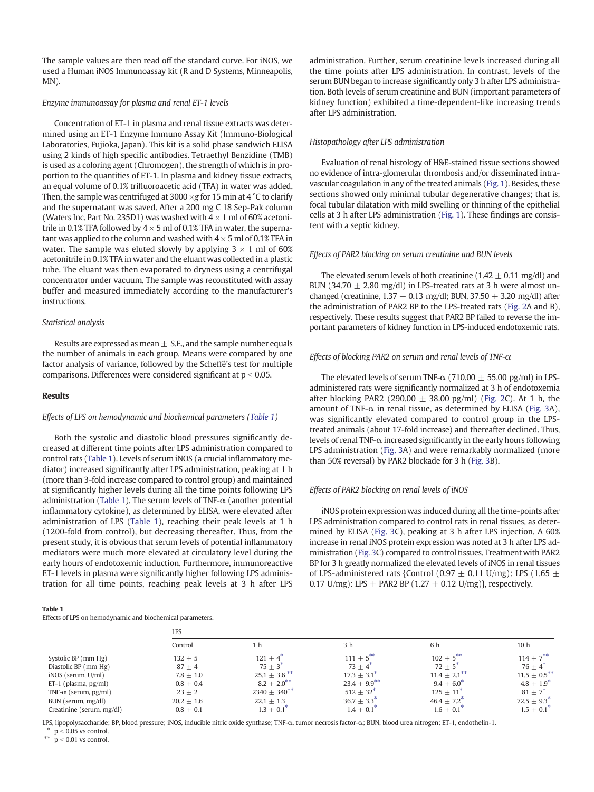The sample values are then read off the standard curve. For iNOS, we used a Human iNOS Immunoassay kit (R and D Systems, Minneapolis, MN).

# Enzyme immunoassay for plasma and renal ET-1 levels

Concentration of ET-1 in plasma and renal tissue extracts was determined using an ET-1 Enzyme Immuno Assay Kit (Immuno-Biological Laboratories, Fujioka, Japan). This kit is a solid phase sandwich ELISA using 2 kinds of high specific antibodies. Tetraethyl Benzidine (TMB) is used as a coloring agent (Chromogen), the strength of which is in proportion to the quantities of ET-1. In plasma and kidney tissue extracts, an equal volume of 0.1% trifluoroacetic acid (TFA) in water was added. Then, the sample was centrifuged at 3000  $\times$ g for 15 min at 4 °C to clarify and the supernatant was saved. After a 200 mg C 18 Sep-Pak column (Waters Inc. Part No. 235D1) was washed with  $4 \times 1$  ml of 60% acetonitrile in 0.1% TFA followed by  $4 \times 5$  ml of 0.1% TFA in water, the supernatant was applied to the column and washed with  $4 \times 5$  ml of 0.1% TFA in water. The sample was eluted slowly by applying  $3 \times 1$  ml of 60% acetonitrile in 0.1% TFA in water and the eluant was collected in a plastic tube. The eluant was then evaporated to dryness using a centrifugal concentrator under vacuum. The sample was reconstituted with assay buffer and measured immediately according to the manufacturer's instructions.

# Statistical analysis

Results are expressed as mean  $\pm$  S.E., and the sample number equals the number of animals in each group. Means were compared by one factor analysis of variance, followed by the Scheffé's test for multiple comparisons. Differences were considered significant at  $p < 0.05$ .

# Results

# Effects of LPS on hemodynamic and biochemical parameters (Table 1)

Both the systolic and diastolic blood pressures significantly decreased at different time points after LPS administration compared to control rats (Table 1). Levels of serum iNOS (a crucial inflammatory mediator) increased significantly after LPS administration, peaking at 1 h (more than 3-fold increase compared to control group) and maintained at significantly higher levels during all the time points following LPS administration (Table 1). The serum levels of TNF- $\alpha$  (another potential inflammatory cytokine), as determined by ELISA, were elevated after administration of LPS (Table 1), reaching their peak levels at 1 h (1200-fold from control), but decreasing thereafter. Thus, from the present study, it is obvious that serum levels of potential inflammatory mediators were much more elevated at circulatory level during the early hours of endotoxemic induction. Furthermore, immunoreactive ET-1 levels in plasma were significantly higher following LPS administration for all time points, reaching peak levels at 3 h after LPS

|--|--|

Effects of LPS on hemodynamic and biochemical parameters.

administration. Further, serum creatinine levels increased during all the time points after LPS administration. In contrast, levels of the serum BUN began to increase significantly only 3 h after LPS administration. Both levels of serum creatinine and BUN (important parameters of kidney function) exhibited a time-dependent-like increasing trends after LPS administration.

# Histopathology after LPS administration

Evaluation of renal histology of H&E-stained tissue sections showed no evidence of intra-glomerular thrombosis and/or disseminated intravascular coagulation in any of the treated animals [\(Fig. 1](#page-4-0)). Besides, these sections showed only minimal tubular degenerative changes; that is, focal tubular dilatation with mild swelling or thinning of the epithelial cells at 3 h after LPS administration ([Fig. 1\)](#page-4-0). These findings are consistent with a septic kidney.

#### Effects of PAR2 blocking on serum creatinine and BUN levels

The elevated serum levels of both creatinine ( $1.42 \pm 0.11$  mg/dl) and BUN (34.70  $\pm$  2.80 mg/dl) in LPS-treated rats at 3 h were almost unchanged (creatinine,  $1.37 \pm 0.13$  mg/dl; BUN,  $37.50 \pm 3.20$  mg/dl) after the administration of PAR2 BP to the LPS-treated rats [\(Fig. 2](#page-4-0)A and B), respectively. These results suggest that PAR2 BP failed to reverse the important parameters of kidney function in LPS-induced endotoxemic rats.

# Effects of blocking PAR2 on serum and renal levels of TNF- $\alpha$

The elevated levels of serum TNF- $\alpha$  (710.00  $\pm$  55.00 pg/ml) in LPSadministered rats were significantly normalized at 3 h of endotoxemia after blocking PAR2 (290.00  $\pm$  38.00 pg/ml) ([Fig. 2](#page-4-0)C). At 1 h, the amount of TNF- $\alpha$  in renal tissue, as determined by ELISA ([Fig. 3A](#page-5-0)), was significantly elevated compared to control group in the LPStreated animals (about 17-fold increase) and thereafter declined. Thus, levels of renal TNF- $\alpha$  increased significantly in the early hours following LPS administration ([Fig. 3](#page-5-0)A) and were remarkably normalized (more than 50% reversal) by PAR2 blockade for 3 h ([Fig. 3](#page-5-0)B).

# Effects of PAR2 blocking on renal levels of iNOS

iNOS protein expression was induced during all the time-points after LPS administration compared to control rats in renal tissues, as determined by ELISA ([Fig. 3C](#page-5-0)), peaking at 3 h after LPS injection. A 60% increase in renal iNOS protein expression was noted at 3 h after LPS administration [\(Fig. 3](#page-5-0)C) compared to control tissues. Treatment with PAR2 BP for 3 h greatly normalized the elevated levels of iNOS in renal tissues of LPS-administered rats {Control (0.97  $\pm$  0.11 U/mg): LPS (1.65  $\pm$ 0.17 U/mg): LPS + PAR2 BP (1.27  $\pm$  0.12 U/mg)}, respectively.

|                              | LPS           |                              |                            |                            |                    |  |
|------------------------------|---------------|------------------------------|----------------------------|----------------------------|--------------------|--|
|                              | Control       | h                            | 3 h                        | 6 h                        | 10 h               |  |
| Systolic BP (mm Hg)          | $132 + 5$     | $121 + 4^{\degree}$          | $111 + 5$ <sup>**</sup>    | $102 + 5$ <sup>**</sup>    | $114 + 7^{**}$     |  |
| Diastolic BP (mm Hg)         | $87 + 4$      | $75 + 3^{\circ}$             | $73 + 4^{\circ}$           | $72 + 5^{\circ}$           | $76 + 4^{\degree}$ |  |
| iNOS (serum, U/ml)           | $7.8 + 1.0$   | $25.1 \pm 3.6$ <sup>**</sup> | $17.3 + 3.1^*$             | $11.4 \pm 2.1***$          | $11.5 + 0.5$ **    |  |
| ET-1 (plasma, $pg/ml$ )      | $0.8 + 0.4$   | $8.2 + 2.0^{**}$             | $23.4 + 9.9$ **            | $9.4 + 6.0^*$              | $4.8 + 1.9^*$      |  |
| TNF- $\alpha$ (serum, pg/ml) | $23 + 2$      | $2340 + 340^{**}$            | $512 + 32^*$               | $125 + 11^{\circ}$         | $81 + 7^*$         |  |
| BUN (serum, mg/dl)           | $20.2 + 1.6$  | $22.1 \pm 1.3$               | $36.7 + 3.3^{*}$           | $46.4 + 7.2^*$             | $72.5 + 9.3^*$     |  |
| Creatinine (serum, mg/dl)    | $0.8 \pm 0.1$ | $1.3 \pm 0.1^{\circ}$        | $1.4 \pm 0.1$ <sup>*</sup> | $1.6 \pm 0.1$ <sup>*</sup> | $1.5 \pm 0.1^*$    |  |

LPS, lipopolysaccharide; BP, blood pressure; iNOS, inducible nitric oxide synthase; TNF-α, tumor necrosis factor-α; BUN, blood urea nitrogen; ET-1, endothelin-1.

 $*$  p < 0.05 vs control.  $p < 0.01$  vs control.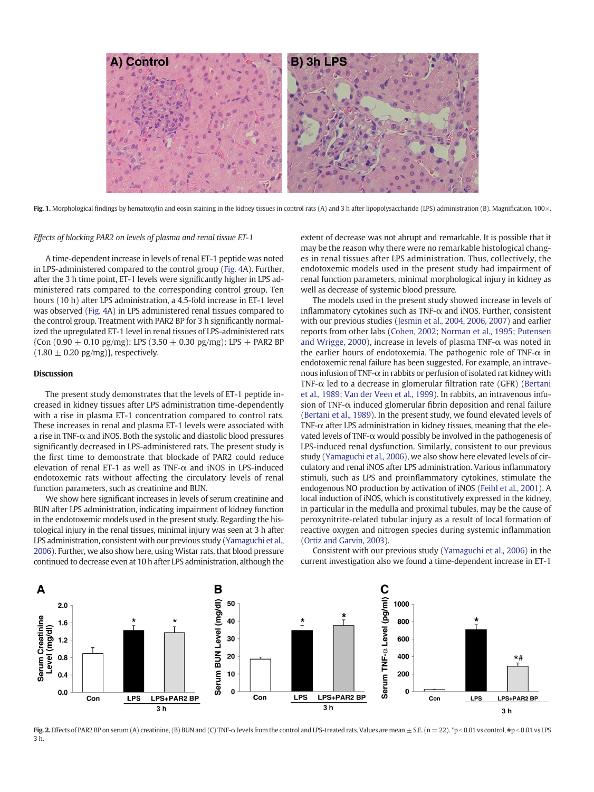<span id="page-4-0"></span>

Fig. 1. Morphological findings by hematoxylin and eosin staining in the kidney tissues in control rats (A) and 3 h after lipopolysaccharide (LPS) administration (B). Magnification, 100 $\times$ .

#### Effects of blocking PAR2 on levels of plasma and renal tissue ET-1

A time-dependent increase in levels of renal ET-1 peptide was noted in LPS-administered compared to the control group ([Fig. 4A](#page-5-0)). Further, after the 3 h time point, ET-1 levels were significantly higher in LPS administered rats compared to the corresponding control group. Ten hours (10 h) after LPS administration, a 4.5-fold increase in ET-1 level was observed ([Fig. 4A](#page-5-0)) in LPS administered renal tissues compared to the control group. Treatment with PAR2 BP for 3 h significantly normalized the upregulated ET-1 level in renal tissues of LPS-administered rats  ${Con (0.90 \pm 0.10 \text{ pg/mg})}: LPS (3.50 \pm 0.30 \text{ pg/mg}): LPS + PAR2 BP$  $(1.80 \pm 0.20 \text{ pg/mg})$ , respectively.

# Discussion

The present study demonstrates that the levels of ET-1 peptide increased in kidney tissues after LPS administration time-dependently with a rise in plasma ET-1 concentration compared to control rats. These increases in renal and plasma ET-1 levels were associated with a rise in TNF-α and iNOS. Both the systolic and diastolic blood pressures significantly decreased in LPS-administered rats. The present study is the first time to demonstrate that blockade of PAR2 could reduce elevation of renal ET-1 as well as TNF- $\alpha$  and iNOS in LPS-induced endotoxemic rats without affecting the circulatory levels of renal function parameters, such as creatinine and BUN.

We show here significant increases in levels of serum creatinine and BUN after LPS administration, indicating impairment of kidney function in the endotoxemic models used in the present study. Regarding the histological injury in the renal tissues, minimal injury was seen at 3 h after LPS administration, consistent with our previous study ([Yamaguchi et al.,](#page-7-0) [2006](#page-7-0)). Further, we also show here, using Wistar rats, that blood pressure continued to decrease even at 10 h after LPS administration, although the extent of decrease was not abrupt and remarkable. It is possible that it may be the reason why there were no remarkable histological changes in renal tissues after LPS administration. Thus, collectively, the endotoxemic models used in the present study had impairment of renal function parameters, minimal morphological injury in kidney as well as decrease of systemic blood pressure.

The models used in the present study showed increase in levels of inflammatory cytokines such as TNF- $\alpha$  and iNOS. Further, consistent with our previous studies [\(Jesmin et al., 2004, 2006, 2007](#page-6-0)) and earlier reports from other labs [\(Cohen, 2002; Norman et al., 1995; Putensen](#page-6-0) [and Wrigge, 2000](#page-6-0)), increase in levels of plasma TNF-α was noted in the earlier hours of endotoxemia. The pathogenic role of TNF- $\alpha$  in endotoxemic renal failure has been suggested. For example, an intravenous infusion of TNF-α in rabbits or perfusion of isolated rat kidney with TNF- $\alpha$  led to a decrease in glomerular filtration rate (GFR) [\(Bertani](#page-6-0) [et al., 1989; Van der Veen et al., 1999\)](#page-6-0). In rabbits, an intravenous infusion of TNF- $\alpha$  induced glomerular fibrin deposition and renal failure [\(Bertani et al., 1989\)](#page-6-0). In the present study, we found elevated levels of TNF- $\alpha$  after LPS administration in kidney tissues, meaning that the elevated levels of TNF- $\alpha$  would possibly be involved in the pathogenesis of LPS-induced renal dysfunction. Similarly, consistent to our previous study [\(Yamaguchi et al., 2006](#page-7-0)), we also show here elevated levels of circulatory and renal iNOS after LPS administration. Various inflammatory stimuli, such as LPS and proinflammatory cytokines, stimulate the endogenous NO production by activation of iNOS [\(Feihl et al., 2001](#page-6-0)). A local induction of iNOS, which is constitutively expressed in the kidney, in particular in the medulla and proximal tubules, may be the cause of peroxynitrite-related tubular injury as a result of local formation of reactive oxygen and nitrogen species during systemic inflammation [\(Ortiz and Garvin, 2003\)](#page-6-0).

Consistent with our previous study [\(Yamaguchi et al., 2006](#page-7-0)) in the current investigation also we found a time-dependent increase in ET-1



Fig. 2. Effects of PAR2 BP on serum (A) creatinine, (B) BUN and (C) TNF- $\alpha$  levels from the control and LPS-treated rats. Values are mean  $\pm$  S.E. (n = 22). \*p < 0.01 vs control, #p < 0.01 vs LPS 3 h.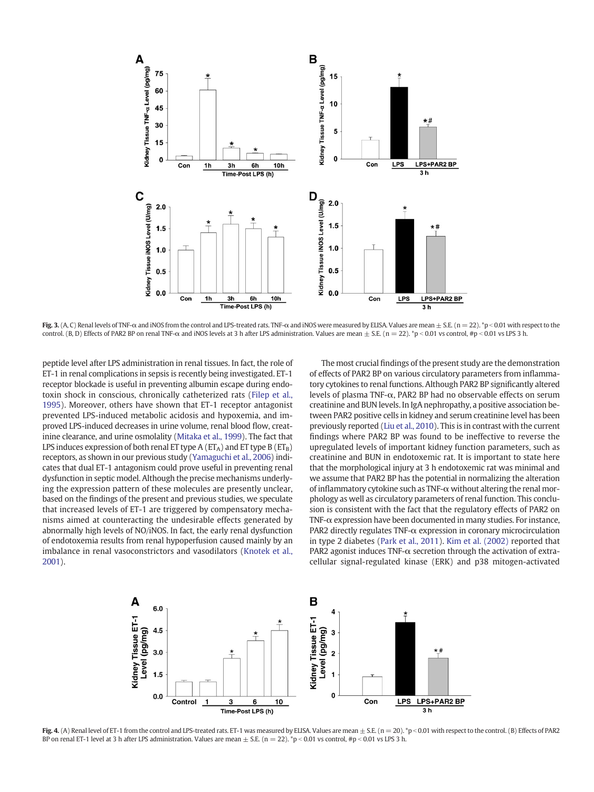<span id="page-5-0"></span>

Fig. 3. (A, C) Renal levels of TNF- $\alpha$  and iNOS from the control and LPS-treated rats. TNF- $\alpha$  and iNOS were measured by ELISA. Values are mean  $\pm$  S.E. (n = 22). \*p < 0.01 with respect to the control. (B, D) Effects of PAR2 BP on renal TNF- $\alpha$  and iNOS levels at 3 h after LPS administration. Values are mean  $\pm$  S.E. (n = 22). \*p < 0.01 vs control, #p < 0.01 vs LPS 3 h.

peptide level after LPS administration in renal tissues. In fact, the role of ET-1 in renal complications in sepsis is recently being investigated. ET-1 receptor blockade is useful in preventing albumin escape during endotoxin shock in conscious, chronically catheterized rats [\(Filep et al.,](#page-6-0) [1995\)](#page-6-0). Moreover, others have shown that ET-1 receptor antagonist prevented LPS-induced metabolic acidosis and hypoxemia, and improved LPS-induced decreases in urine volume, renal blood flow, creatinine clearance, and urine osmolality ([Mitaka et al., 1999](#page-6-0)). The fact that LPS induces expression of both renal ET type A ( $ET_A$ ) and ET type B ( $ET_B$ ) receptors, as shown in our previous study [\(Yamaguchi et al., 2006\)](#page-7-0) indicates that dual ET-1 antagonism could prove useful in preventing renal dysfunction in septic model. Although the precise mechanisms underlying the expression pattern of these molecules are presently unclear, based on the findings of the present and previous studies, we speculate that increased levels of ET-1 are triggered by compensatory mechanisms aimed at counteracting the undesirable effects generated by abnormally high levels of NO/iNOS. In fact, the early renal dysfunction of endotoxemia results from renal hypoperfusion caused mainly by an imbalance in renal vasoconstrictors and vasodilators ([Knotek et al.,](#page-6-0) [2001](#page-6-0)).

The most crucial findings of the present study are the demonstration of effects of PAR2 BP on various circulatory parameters from inflammatory cytokines to renal functions. Although PAR2 BP significantly altered levels of plasma TNF-α, PAR2 BP had no observable effects on serum creatinine and BUN levels. In IgA nephropathy, a positive association between PAR2 positive cells in kidney and serum creatinine level has been previously reported [\(Liu et al., 2010\)](#page-6-0). This is in contrast with the current findings where PAR2 BP was found to be ineffective to reverse the upregulated levels of important kidney function parameters, such as creatinine and BUN in endotoxemic rat. It is important to state here that the morphological injury at 3 h endotoxemic rat was minimal and we assume that PAR2 BP has the potential in normalizing the alteration of inflammatory cytokine such as TNF-α without altering the renal morphology as well as circulatory parameters of renal function. This conclusion is consistent with the fact that the regulatory effects of PAR2 on TNF-α expression have been documented in many studies. For instance, PAR2 directly regulates TNF-α expression in coronary microcirculation in type 2 diabetes ([Park et al., 2011](#page-6-0)). [Kim et al. \(2002\)](#page-6-0) reported that PAR2 agonist induces TNF-α secretion through the activation of extracellular signal-regulated kinase (ERK) and p38 mitogen-activated



Fig. 4. (A) Renal level of ET-1 from the control and LPS-treated rats. ET-1 was measured by ELISA. Values are mean  $\pm$  S.E. (n = 20). \*p < 0.01 with respect to the control. (B) Effects of PAR2 BP on renal ET-1 level at 3 h after LPS administration. Values are mean  $\pm$  S.E. (n = 22). \*p < 0.01 vs control, #p < 0.01 vs LPS 3 h.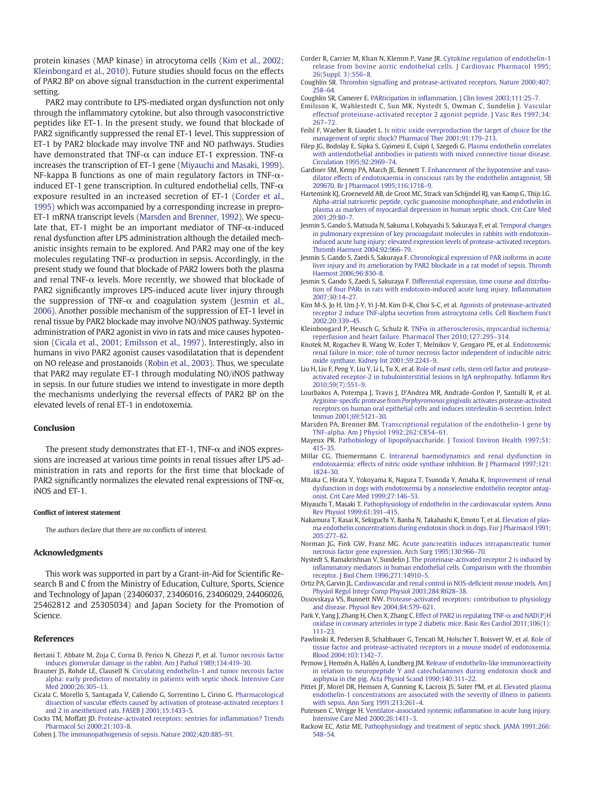<span id="page-6-0"></span>protein kinases (MAP kinase) in atrocytoma cells (Kim et al., 2002; Kleinbongard et al., 2010). Future studies should focus on the effects of PAR2 BP on above signal transduction in the current experimental setting.

PAR2 may contribute to LPS-mediated organ dysfunction not only through the inflammatory cytokine, but also through vasoconstrictive peptides like ET-1. In the present study, we found that blockade of PAR2 significantly suppressed the renal ET-1 level. This suppression of ET-1 by PAR2 blockade may involve TNF and NO pathways. Studies have demonstrated that TNF- $\alpha$  can induce ET-1 expression. TNF- $\alpha$ increases the transcription of ET-1 gene (Miyauchi and Masaki, 1999). NF-kappa B functions as one of main regulatory factors in TNF-αinduced ET-1 gene transcription. In cultured endothelial cells, TNF- $\alpha$ exposure resulted in an increased secretion of ET-1 (Corder et al., 1995) which was accompanied by a corresponding increase in prepro-ET-1 mRNA transcript levels (Marsden and Brenner, 1992). We speculate that, ET-1 might be an important mediator of TNF- $\alpha$ -induced renal dysfunction after LPS administration although the detailed mechanistic insights remain to be explored. And PAR2 may one of the key molecules regulating TNF- $\alpha$  production in sepsis. Accordingly, in the present study we found that blockade of PAR2 lowers both the plasma and renal TNF- $\alpha$  levels. More recently, we showed that blockade of PAR2 significantly improves LPS-induced acute liver injury through the suppression of TNF- $\alpha$  and coagulation system (Jesmin et al., 2006). Another possible mechanism of the suppression of ET-1 level in renal tissue by PAR2 blockade may involve NO/iNOS pathway. Systemic administration of PAR2 agonist in vivo in rats and mice causes hypotension (Cicala et al., 2001; Emilsson et al., 1997). Interestingly, also in humans in vivo PAR2 agonist causes vasodilatation that is dependent on NO release and prostanoids [\(Robin et al., 2003](#page-7-0)). Thus, we speculate that PAR2 may regulate ET-1 through modulating NO/iNOS pathway in sepsis. In our future studies we intend to investigate in more depth the mechanisms underlying the reversal effects of PAR2 BP on the elevated levels of renal ET-1 in endotoxemia.

# Conclusion

The present study demonstrates that ET-1, TNF-α and iNOS expressions are increased at various time points in renal tissues after LPS administration in rats and reports for the first time that blockade of PAR2 significantly normalizes the elevated renal expressions of TNF- $\alpha$ , iNOS and ET-1.

#### Conflict of interest statement

The authors declare that there are no conflicts of interest.

#### Acknowledgments

This work was supported in part by a Grant-in-Aid for Scientific Research B and C from the Ministry of Education, Culture, Sports, Science and Technology of Japan (23406037, 23406016, 23406029, 24406026, 25462812 and 25305034) and Japan Society for the Promotion of Science.

#### References

- Bertani T, Abbate M, Zoja C, Corna D, Perico N, Ghezzi P, et al. [Tumor necrosis factor](http://refhub.elsevier.com/S0024-3205(14)00337-3/rf0005) [induces glomerular damage in the rabbit. Am J Pathol 1989;134:419](http://refhub.elsevier.com/S0024-3205(14)00337-3/rf0005)–30.
- Brauner JS, Rohde LE, Clausell N. [Circulating endothelin-1 and tumor necrosis factor](http://refhub.elsevier.com/S0024-3205(14)00337-3/rf0010) [alpha: early predictors of mortality in patients with septic shock. Intensive Care](http://refhub.elsevier.com/S0024-3205(14)00337-3/rf0010) [Med 2000;26:305](http://refhub.elsevier.com/S0024-3205(14)00337-3/rf0010)–13.
- Cicala C, Morello S, Santagada V, Caliendo G, Sorrentino L, Cirino G. [Pharmacological](http://refhub.elsevier.com/S0024-3205(14)00337-3/rf0015) [dissection of vascular effects caused by activation of protease-activated receptors 1](http://refhub.elsevier.com/S0024-3205(14)00337-3/rf0015) [and 2 in anesthetized rats. FASEB J 2001;15:1433](http://refhub.elsevier.com/S0024-3205(14)00337-3/rf0015)–5.
- Cocks TM, Moffatt JD. [Protease-activated receptors: sentries for in](http://refhub.elsevier.com/S0024-3205(14)00337-3/rf0020)flammation? Trends [Pharmacol Sci 2000;21:103](http://refhub.elsevier.com/S0024-3205(14)00337-3/rf0020)–8.
- Cohen J. [The immunopathogenesis of sepsis. Nature 2002;420:885](http://refhub.elsevier.com/S0024-3205(14)00337-3/rf0025)–91.
- Corder R, Carrier M, Khan N, Klemm P, Vane JR. [Cytokine regulation of endothelin-1](http://refhub.elsevier.com/S0024-3205(14)00337-3/rf0030) [release from bovine aortic endothelial cells. J Cardiovasc Pharmacol 1995;](http://refhub.elsevier.com/S0024-3205(14)00337-3/rf0030) [26\(Suppl. 3\):S56](http://refhub.elsevier.com/S0024-3205(14)00337-3/rf0030)–8.
- Coughlin SR. [Thrombin signalling and protease-activated receptors. Nature 2000;407:](http://refhub.elsevier.com/S0024-3205(14)00337-3/rf0040) [258](http://refhub.elsevier.com/S0024-3205(14)00337-3/rf0040)–64.
- Coughlin SR, Camerer E. PARticipation in infl[ammation. J Clin Invest 2003;111:25](http://refhub.elsevier.com/S0024-3205(14)00337-3/rf0035)–7.
- Emilsson K, Wahlestedt C, Sun MK, Nystedt S, Owman C, Sundelin J. [Vascular](http://refhub.elsevier.com/S0024-3205(14)00337-3/rf0255) [effectsof proteinase-activated receptor 2 agonist peptide. J Vasc Res 1997;34:](http://refhub.elsevier.com/S0024-3205(14)00337-3/rf0255) [267](http://refhub.elsevier.com/S0024-3205(14)00337-3/rf0255)–72.
- Feihl F, Waeber B, Liaudet L. [Is nitric oxide overproduction the target of choice for the](http://refhub.elsevier.com/S0024-3205(14)00337-3/rf0260) [management of septic shock? Pharmacol Ther 2001;91:179](http://refhub.elsevier.com/S0024-3205(14)00337-3/rf0260)–213.
- Filep JG, Bodolay E, Sipka S, Gyimesi E, Csipö I, Szegedi G. [Plasma endothelin correlates](http://refhub.elsevier.com/S0024-3205(14)00337-3/rf0050) [with antiendothelial antibodies in patients with mixed connective tissue disease.](http://refhub.elsevier.com/S0024-3205(14)00337-3/rf0050) [Circulation 1995;92:2969](http://refhub.elsevier.com/S0024-3205(14)00337-3/rf0050)–74.
- Gardiner SM, Kemp PA, March JE, Bennett T. [Enhancement of the hypotensive and vaso](http://refhub.elsevier.com/S0024-3205(14)00337-3/rf0055)[dilator effects of endotoxaemia in conscious rats by the endothelin antagonist, SB](http://refhub.elsevier.com/S0024-3205(14)00337-3/rf0055) [209670. Br J Pharmacol 1995;116:1718](http://refhub.elsevier.com/S0024-3205(14)00337-3/rf0055)–9.
- Hartemink KJ, Groeneveld AB, de Groot MC, Strack van Schijndel RJ, van Kamp G, Thijs LG. [Alpha-atrial natriuretic peptide, cyclic guanosine monophosphate, and endothelin in](http://refhub.elsevier.com/S0024-3205(14)00337-3/rf0265) [plasma as markers of myocardial depression in human septic shock. Crit Care Med](http://refhub.elsevier.com/S0024-3205(14)00337-3/rf0265) [2001;29:80](http://refhub.elsevier.com/S0024-3205(14)00337-3/rf0265)–7.
- Jesmin S, Gando S, Matsuda N, Sakuma I, Kobayashi S, Sakuraya F, et al. [Temporal changes](http://refhub.elsevier.com/S0024-3205(14)00337-3/rf0065) [in pulmonary expression of key procoagulant molecules in rabbits with endotoxin](http://refhub.elsevier.com/S0024-3205(14)00337-3/rf0065)[induced acute lung injury: elevated expression levels of protease-activated receptors.](http://refhub.elsevier.com/S0024-3205(14)00337-3/rf0065) [Thromb Haemost 2004;92:966](http://refhub.elsevier.com/S0024-3205(14)00337-3/rf0065)–79.
- Jesmin S, Gando S, Zaedi S, Sakuraya F. [Chronological expression of PAR isoforms in acute](http://refhub.elsevier.com/S0024-3205(14)00337-3/rf0070) [liver injury and its amelioration by PAR2 blockade in a rat model of sepsis. Thromb](http://refhub.elsevier.com/S0024-3205(14)00337-3/rf0070) [Haemost 2006;96:830](http://refhub.elsevier.com/S0024-3205(14)00337-3/rf0070)–8.
- Jesmin S, Gando S, Zaedi S, Sakuraya F. [Differential expression, time course and distribu](http://refhub.elsevier.com/S0024-3205(14)00337-3/rf0075)[tion of four PARs in rats with endotoxin-induced acute lung injury. In](http://refhub.elsevier.com/S0024-3205(14)00337-3/rf0075)flammation [2007;30:14](http://refhub.elsevier.com/S0024-3205(14)00337-3/rf0075)–27.
- Kim M-S, Jo H, Um J-Y, Yi J-M, Kim D-K, Choi S-C, et al. [Agonists of proteinase-activated](http://refhub.elsevier.com/S0024-3205(14)00337-3/rf0080) [receptor 2 induce TNF-alpha secretion from astrocytoma cells. Cell Biochem Funct](http://refhub.elsevier.com/S0024-3205(14)00337-3/rf0080) [2002;20:339](http://refhub.elsevier.com/S0024-3205(14)00337-3/rf0080)–45.
- Kleinbongard P, Heusch G, Schulz R. TNFα [in atherosclerosis, myocardial ischemia/](http://refhub.elsevier.com/S0024-3205(14)00337-3/rf0085) [reperfusion and heart failure. Pharmacol Ther 2010;127:295](http://refhub.elsevier.com/S0024-3205(14)00337-3/rf0085)–314.
- Knotek M, Rogachev B, Wang W, Ecder T, Melnikov V, Gengaro PE, et al. [Endotoxemic](http://refhub.elsevier.com/S0024-3205(14)00337-3/rf0090) [renal failure in mice: role of tumor necrosis factor independent of inducible nitric](http://refhub.elsevier.com/S0024-3205(14)00337-3/rf0090) [oxide synthase. Kidney Int 2001;59:2243](http://refhub.elsevier.com/S0024-3205(14)00337-3/rf0090)–9.
- Liu H, Liu F, Peng Y, Liu Y, Li L, Tu X, et al. [Role of mast cells, stem cell factor and protease](http://refhub.elsevier.com/S0024-3205(14)00337-3/rf0095)[activated receptor-2 in tubulointerstitial lesions in IgA nephropathy. In](http://refhub.elsevier.com/S0024-3205(14)00337-3/rf0095)flamm Res [2010;59\(7\):551](http://refhub.elsevier.com/S0024-3205(14)00337-3/rf0095)–9.
- Lourbakos A, Potempa J, Travis J, D'Andrea MR, Andrade-Gordon P, Santulli R, et al. Arginine-specific protease from Porphyromonas gingivalis [activates protease-activated](http://refhub.elsevier.com/S0024-3205(14)00337-3/rf0100) [receptors on human oral epithelial cells and induces interleukin-6 secretion. Infect](http://refhub.elsevier.com/S0024-3205(14)00337-3/rf0100) [Immun 2001;69:5121](http://refhub.elsevier.com/S0024-3205(14)00337-3/rf0100)–30.
- Marsden PA, Brenner BM. [Transcriptional regulation of the endothelin-1 gene by](http://refhub.elsevier.com/S0024-3205(14)00337-3/rf0105) [TNF-alpha. Am J Physiol 1992;262:C854](http://refhub.elsevier.com/S0024-3205(14)00337-3/rf0105)–61.
- Mayeux PR. [Pathobiology of lipopolysaccharide. J Toxicol Environ Health 1997;51:](http://refhub.elsevier.com/S0024-3205(14)00337-3/rf0270) [415](http://refhub.elsevier.com/S0024-3205(14)00337-3/rf0270)–35.
- Millar CG, Thiemermann C. [Intrarenal haemodynamics and renal dysfunction in](http://refhub.elsevier.com/S0024-3205(14)00337-3/rf0110) [endotoxaemia: effects of nitric oxide synthase inhibition. Br J Pharmacol 1997;121:](http://refhub.elsevier.com/S0024-3205(14)00337-3/rf0110) [1824](http://refhub.elsevier.com/S0024-3205(14)00337-3/rf0110)–30.
- Mitaka C, Hirata Y, Yokoyama K, Nagura T, Tsunoda Y, Amaha K. [Improvement of renal](http://refhub.elsevier.com/S0024-3205(14)00337-3/rf0115) [dysfunction in dogs with endotoxemia by a nonselective endothelin receptor antag](http://refhub.elsevier.com/S0024-3205(14)00337-3/rf0115)[onist. Crit Care Med 1999;27:146](http://refhub.elsevier.com/S0024-3205(14)00337-3/rf0115)–53.
- Miyauchi T, Masaki T. [Pathophysiology of endothelin in the cardiovascular system. Annu](http://refhub.elsevier.com/S0024-3205(14)00337-3/rf0120) [Rev Physiol 1999;61:391](http://refhub.elsevier.com/S0024-3205(14)00337-3/rf0120)–415.
- Nakamura T, Kasai K, Sekiguchi Y, Banba N, Takahashi K, Emoto T, et al. [Elevation of plas](http://refhub.elsevier.com/S0024-3205(14)00337-3/rf0125)[ma endothelin concentrations during endotoxin shock in dogs. Eur J Pharmacol 1991;](http://refhub.elsevier.com/S0024-3205(14)00337-3/rf0125) [205:277](http://refhub.elsevier.com/S0024-3205(14)00337-3/rf0125)–82.
- Norman JG, Fink GW, Franz MG. [Acute pancreatitis induces intrapancreatic tumor](http://refhub.elsevier.com/S0024-3205(14)00337-3/rf0130) [necrosis factor gene expression. Arch Surg 1995;130:966](http://refhub.elsevier.com/S0024-3205(14)00337-3/rf0130)–70.
- Nystedt S, Ramakrishnan V, Sundelin J. [The proteinase-activated receptor 2 is induced by](http://refhub.elsevier.com/S0024-3205(14)00337-3/rf0135) infl[ammatory mediators in human endothelial cells. Comparison with the thrombin](http://refhub.elsevier.com/S0024-3205(14)00337-3/rf0135) [receptor. J Biol Chem 1996;271:14910](http://refhub.elsevier.com/S0024-3205(14)00337-3/rf0135)–5.
- Ortiz PA, Garvin JL. [Cardiovascular and renal control in NOS-de](http://refhub.elsevier.com/S0024-3205(14)00337-3/rf0140)ficient mouse models. Am J [Physiol Regul Integr Comp Physiol 2003;284:R628](http://refhub.elsevier.com/S0024-3205(14)00337-3/rf0140)–38.
- Ossovskaya VS, Bunnett NW. [Protease-activated receptors: contribution to physiology](http://refhub.elsevier.com/S0024-3205(14)00337-3/rf0145) [and disease. Physiol Rev 2004;84:579](http://refhub.elsevier.com/S0024-3205(14)00337-3/rf0145)–621.
- Park Y, Yang J, Zhang H, Chen X, Zhang C. [Effect of PAR2 in regulating TNF-](http://refhub.elsevier.com/S0024-3205(14)00337-3/rf0150)α and NAD(P)H [oxidase in coronary arterioles in type 2 diabetic mice. Basic Res Cardiol 2011;106\(1\):](http://refhub.elsevier.com/S0024-3205(14)00337-3/rf0150) [111](http://refhub.elsevier.com/S0024-3205(14)00337-3/rf0150)–23.
- Pawlinski R, Pedersen B, Schabbauer G, Tencati M, Holscher T, Boisvert W, et al. [Role of](http://refhub.elsevier.com/S0024-3205(14)00337-3/rf0155) [tissue factor and protease-activated receptors in a mouse model of endotoxemia.](http://refhub.elsevier.com/S0024-3205(14)00337-3/rf0155) [Blood 2004;103:1342](http://refhub.elsevier.com/S0024-3205(14)00337-3/rf0155)–7.
- Pernow J, Hemsén A, Hallén A, Lundberg JM. [Release of endothelin-like immunoreactivity](http://refhub.elsevier.com/S0024-3205(14)00337-3/rf0160) [in relation to neuropeptide Y and catecholamines during endotoxin shock and](http://refhub.elsevier.com/S0024-3205(14)00337-3/rf0160) [asphyxia in the pig. Acta Physiol Scand 1990;140:311](http://refhub.elsevier.com/S0024-3205(14)00337-3/rf0160)–22.
- Pittet JF, Morel DR, Hemsen A, Gunning K, Lacroix JS, Suter PM, et al. [Elevated plasma](http://refhub.elsevier.com/S0024-3205(14)00337-3/rf0165) [endothelin-1 concentrations are associated with the severity of illness in patients](http://refhub.elsevier.com/S0024-3205(14)00337-3/rf0165) [with sepsis. Ann Surg 1991;213:261](http://refhub.elsevier.com/S0024-3205(14)00337-3/rf0165)–4.
- Putensen C, Wrigge H. [Ventilator-associated systemic in](http://refhub.elsevier.com/S0024-3205(14)00337-3/rf0170)flammation in acute lung injury. [Intensive Care Med 2000;26:1411](http://refhub.elsevier.com/S0024-3205(14)00337-3/rf0170)–3.
- Rackow EC, Astiz ME. [Pathophysiology and treatment of septic shock. JAMA 1991;266:](http://refhub.elsevier.com/S0024-3205(14)00337-3/rf0175) [548](http://refhub.elsevier.com/S0024-3205(14)00337-3/rf0175)–54.